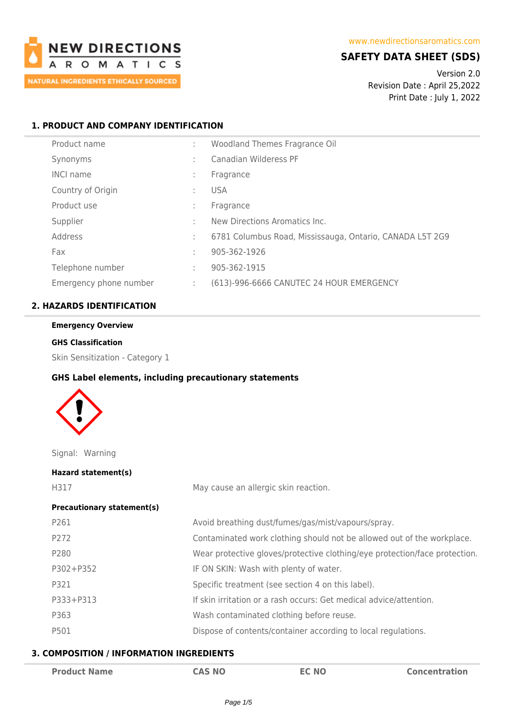

## **SAFETY DATA SHEET (SDS)**

Version 2.0 Revision Date : April 25,2022 Print Date : July 1, 2022

## **1. PRODUCT AND COMPANY IDENTIFICATION**

| Product name           |                | Woodland Themes Fragrance Oil                            |
|------------------------|----------------|----------------------------------------------------------|
| Synonyms               | ٠.             | Canadian Wilderess PF                                    |
| <b>INCI name</b>       | ÷              | Fragrance                                                |
| Country of Origin      |                | <b>USA</b>                                               |
| Product use            | ٠.             | Fragrance                                                |
| Supplier               | t.             | New Directions Aromatics Inc.                            |
| Address                | $\mathbb{R}^n$ | 6781 Columbus Road, Mississauga, Ontario, CANADA L5T 2G9 |
| Fax                    | t.             | 905-362-1926                                             |
| Telephone number       | t.             | 905-362-1915                                             |
| Emergency phone number | ÷.             | (613)-996-6666 CANUTEC 24 HOUR EMERGENCY                 |

## **2. HAZARDS IDENTIFICATION**

# **Emergency Overview**

## **GHS Classification**

Skin Sensitization - Category 1

#### **GHS Label elements, including precautionary statements**



Signal: Warning

| Hazard statement(s)               |                                                                            |
|-----------------------------------|----------------------------------------------------------------------------|
| H317                              | May cause an allergic skin reaction.                                       |
| <b>Precautionary statement(s)</b> |                                                                            |
| P261                              | Avoid breathing dust/fumes/gas/mist/vapours/spray.                         |
| P272                              | Contaminated work clothing should not be allowed out of the workplace.     |
| P280                              | Wear protective gloves/protective clothing/eye protection/face protection. |
| P302+P352                         | IF ON SKIN: Wash with plenty of water.                                     |
| P321                              | Specific treatment (see section 4 on this label).                          |
| P333+P313                         | If skin irritation or a rash occurs: Get medical advice/attention.         |
| P363                              | Wash contaminated clothing before reuse.                                   |
| P501                              | Dispose of contents/container according to local regulations.              |

#### **3. COMPOSITION / INFORMATION INGREDIENTS**

| <b>Product Name</b> | <b>CAS NO</b> | <b>EC NO</b> | <b>Concentration</b> |
|---------------------|---------------|--------------|----------------------|
|---------------------|---------------|--------------|----------------------|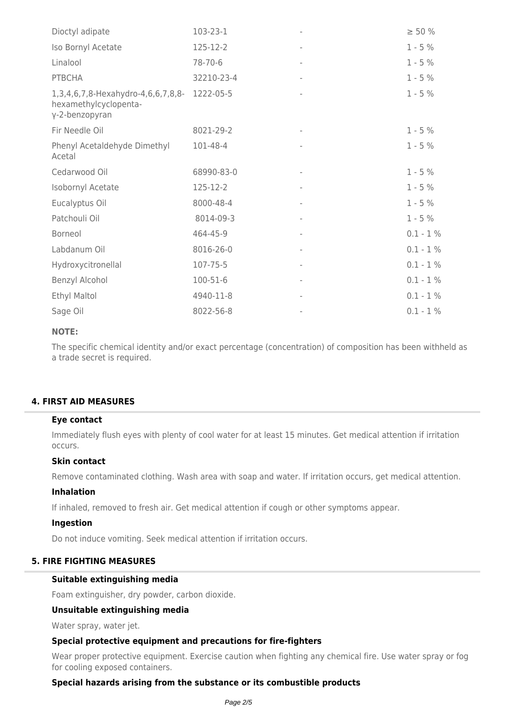| Dioctyl adipate                                                                         | 103-23-1       | $\geq 50 \%$ |
|-----------------------------------------------------------------------------------------|----------------|--------------|
| Iso Bornyl Acetate                                                                      | 125-12-2       | $1 - 5%$     |
| Linalool                                                                                | 78-70-6        | $1 - 5%$     |
| <b>PTBCHA</b>                                                                           | 32210-23-4     | $1 - 5%$     |
| 1,3,4,6,7,8-Hexahydro-4,6,6,7,8,8- 1222-05-5<br>hexamethylcyclopenta-<br>γ-2-benzopyran |                | $1 - 5%$     |
| Fir Needle Oil                                                                          | 8021-29-2      | $1 - 5%$     |
| Phenyl Acetaldehyde Dimethyl<br>Acetal                                                  | 101-48-4       | $1 - 5%$     |
| Cedarwood Oil                                                                           | 68990-83-0     | $1 - 5%$     |
| Isobornyl Acetate                                                                       | 125-12-2       | $1 - 5%$     |
| Eucalyptus Oil                                                                          | 8000-48-4      | $1 - 5%$     |
| Patchouli Oil                                                                           | 8014-09-3      | $1 - 5%$     |
| Borneol                                                                                 | 464-45-9       | $0.1 - 1 \%$ |
| Labdanum Oil                                                                            | 8016-26-0      | $0.1 - 1 \%$ |
| Hydroxycitronellal                                                                      | 107-75-5       | $0.1 - 1 \%$ |
| Benzyl Alcohol                                                                          | $100 - 51 - 6$ | $0.1 - 1 \%$ |
| Ethyl Maltol                                                                            | 4940-11-8      | $0.1 - 1 \%$ |
| Sage Oil                                                                                | 8022-56-8      | $0.1 - 1 \%$ |

## **NOTE:**

The specific chemical identity and/or exact percentage (concentration) of composition has been withheld as a trade secret is required.

## **4. FIRST AID MEASURES**

#### **Eye contact**

Immediately flush eyes with plenty of cool water for at least 15 minutes. Get medical attention if irritation occurs.

#### **Skin contact**

Remove contaminated clothing. Wash area with soap and water. If irritation occurs, get medical attention.

#### **Inhalation**

If inhaled, removed to fresh air. Get medical attention if cough or other symptoms appear.

#### **Ingestion**

Do not induce vomiting. Seek medical attention if irritation occurs.

## **5. FIRE FIGHTING MEASURES**

#### **Suitable extinguishing media**

Foam extinguisher, dry powder, carbon dioxide.

#### **Unsuitable extinguishing media**

Water spray, water jet.

#### **Special protective equipment and precautions for fire-fighters**

Wear proper protective equipment. Exercise caution when fighting any chemical fire. Use water spray or fog for cooling exposed containers.

#### **Special hazards arising from the substance or its combustible products**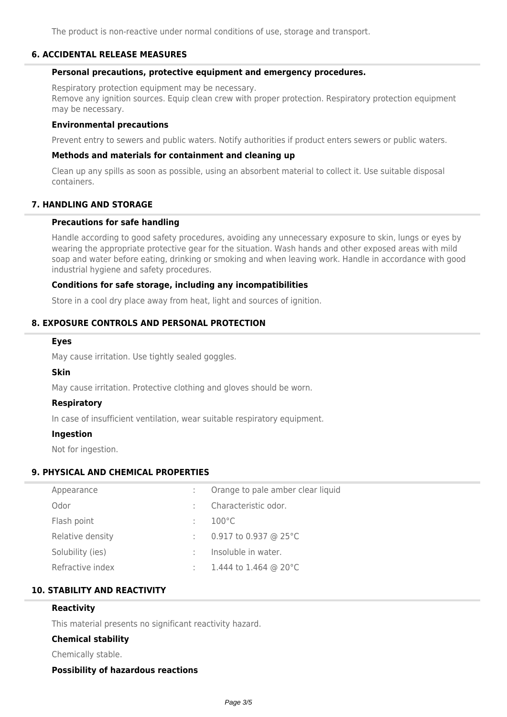The product is non-reactive under normal conditions of use, storage and transport.

#### **6. ACCIDENTAL RELEASE MEASURES**

#### **Personal precautions, protective equipment and emergency procedures.**

Respiratory protection equipment may be necessary. Remove any ignition sources. Equip clean crew with proper protection. Respiratory protection equipment may be necessary.

#### **Environmental precautions**

Prevent entry to sewers and public waters. Notify authorities if product enters sewers or public waters.

#### **Methods and materials for containment and cleaning up**

Clean up any spills as soon as possible, using an absorbent material to collect it. Use suitable disposal containers.

## **7. HANDLING AND STORAGE**

#### **Precautions for safe handling**

Handle according to good safety procedures, avoiding any unnecessary exposure to skin, lungs or eyes by wearing the appropriate protective gear for the situation. Wash hands and other exposed areas with mild soap and water before eating, drinking or smoking and when leaving work. Handle in accordance with good industrial hygiene and safety procedures.

### **Conditions for safe storage, including any incompatibilities**

Store in a cool dry place away from heat, light and sources of ignition.

## **8. EXPOSURE CONTROLS AND PERSONAL PROTECTION**

#### **Eyes**

May cause irritation. Use tightly sealed goggles.

#### **Skin**

May cause irritation. Protective clothing and gloves should be worn.

#### **Respiratory**

In case of insufficient ventilation, wear suitable respiratory equipment.

#### **Ingestion**

Not for ingestion.

## **9. PHYSICAL AND CHEMICAL PROPERTIES**

| Appearance       |   | Orange to pale amber clear liquid |
|------------------|---|-----------------------------------|
| Odor             |   | Characteristic odor.              |
| Flash point      | ÷ | $100^{\circ}$ C                   |
| Relative density | ÷ | 0.917 to 0.937 @ 25 $^{\circ}$ C  |
| Solubility (ies) |   | Insoluble in water.               |
| Refractive index |   | 1.444 to 1.464 @ 20°C             |
|                  |   |                                   |

## **10. STABILITY AND REACTIVITY**

#### **Reactivity**

This material presents no significant reactivity hazard.

#### **Chemical stability**

Chemically stable.

#### **Possibility of hazardous reactions**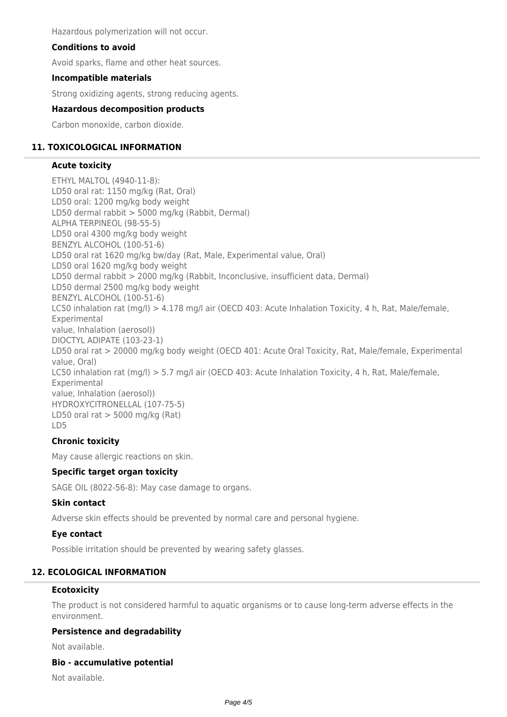Hazardous polymerization will not occur.

### **Conditions to avoid**

Avoid sparks, flame and other heat sources.

#### **Incompatible materials**

Strong oxidizing agents, strong reducing agents.

#### **Hazardous decomposition products**

Carbon monoxide, carbon dioxide.

## **11. TOXICOLOGICAL INFORMATION**

#### **Acute toxicity**

ETHYL MALTOL (4940-11-8): LD50 oral rat: 1150 mg/kg (Rat, Oral) LD50 oral: 1200 mg/kg body weight LD50 dermal rabbit > 5000 mg/kg (Rabbit, Dermal) ALPHA TERPINEOL (98-55-5) LD50 oral 4300 mg/kg body weight BENZYL ALCOHOL (100-51-6) LD50 oral rat 1620 mg/kg bw/day (Rat, Male, Experimental value, Oral) LD50 oral 1620 mg/kg body weight LD50 dermal rabbit > 2000 mg/kg (Rabbit, Inconclusive, insufficient data, Dermal) LD50 dermal 2500 mg/kg body weight BENZYL ALCOHOL (100-51-6) LC50 inhalation rat (mg/l) > 4.178 mg/l air (OECD 403: Acute Inhalation Toxicity, 4 h, Rat, Male/female, Experimental value, Inhalation (aerosol)) DIOCTYL ADIPATE (103-23-1) LD50 oral rat > 20000 mg/kg body weight (OECD 401: Acute Oral Toxicity, Rat, Male/female, Experimental value, Oral) LC50 inhalation rat (mg/l) > 5.7 mg/l air (OECD 403: Acute Inhalation Toxicity, 4 h, Rat, Male/female, Experimental value, Inhalation (aerosol)) HYDROXYCITRONELLAL (107-75-5) LD50 oral rat  $>$  5000 mg/kg (Rat) LD5

## **Chronic toxicity**

May cause allergic reactions on skin.

## **Specific target organ toxicity**

SAGE OIL (8022-56-8): May case damage to organs.

#### **Skin contact**

Adverse skin effects should be prevented by normal care and personal hygiene.

#### **Eye contact**

Possible irritation should be prevented by wearing safety glasses.

## **12. ECOLOGICAL INFORMATION**

#### **Ecotoxicity**

The product is not considered harmful to aquatic organisms or to cause long-term adverse effects in the environment.

## **Persistence and degradability**

Not available.

#### **Bio - accumulative potential**

Not available.